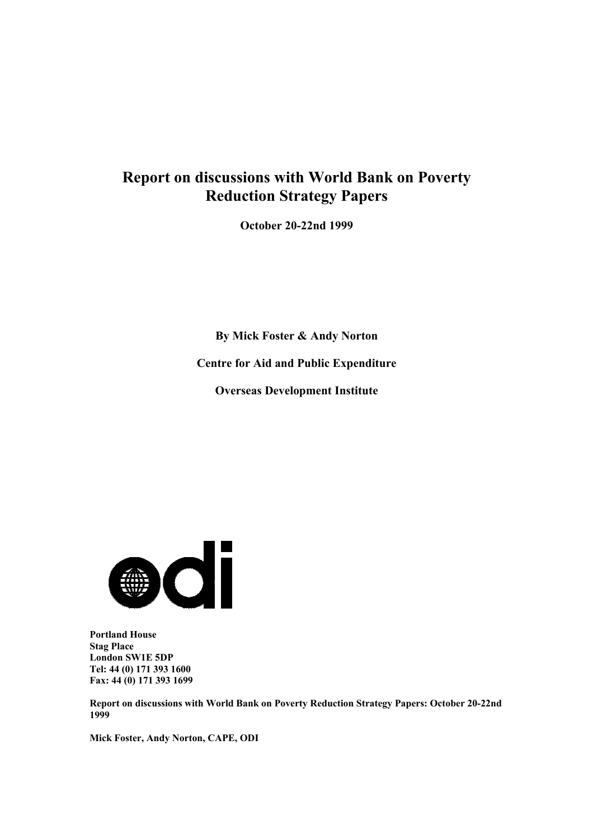# **Report on discussions with World Bank on Poverty Reduction Strategy Papers**

**October 20-22nd 1999**

**By Mick Foster & Andy Norton Centre for Aid and Public Expenditure Overseas Development Institute**



**Portland House Stag Place London SW1E 5DP Tel: 44 (0) 171 393 1600 Fax: 44 (0) 171 393 1699**

**Report on discussions with World Bank on Poverty Reduction Strategy Papers: October 20-22nd 1999**

**Mick Foster, Andy Norton, CAPE, ODI**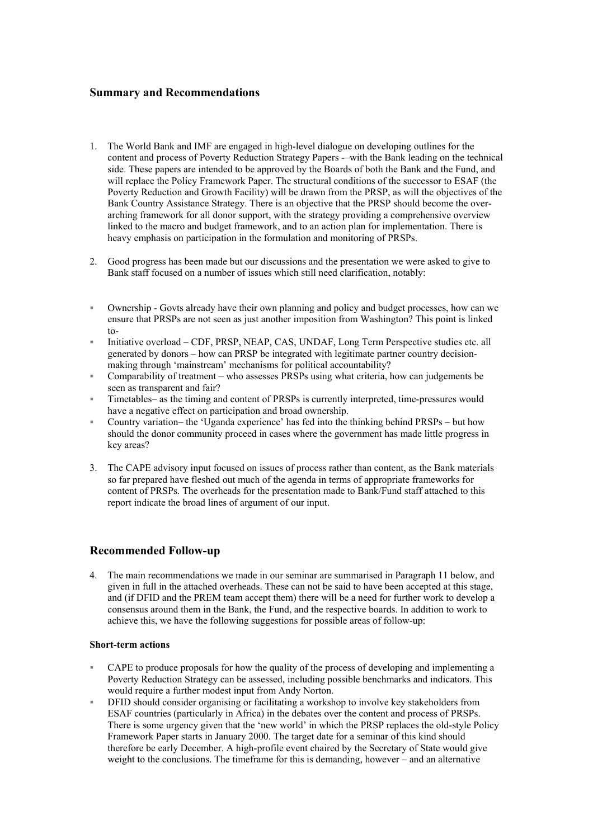## **Summary and Recommendations**

- 1. The World Bank and IMF are engaged in high-level dialogue on developing outlines for the content and process of Poverty Reduction Strategy Papers -–with the Bank leading on the technical side. These papers are intended to be approved by the Boards of both the Bank and the Fund, and will replace the Policy Framework Paper. The structural conditions of the successor to ESAF (the Poverty Reduction and Growth Facility) will be drawn from the PRSP, as will the objectives of the Bank Country Assistance Strategy. There is an objective that the PRSP should become the overarching framework for all donor support, with the strategy providing a comprehensive overview linked to the macro and budget framework, and to an action plan for implementation. There is heavy emphasis on participation in the formulation and monitoring of PRSPs.
- 2. Good progress has been made but our discussions and the presentation we were asked to give to Bank staff focused on a number of issues which still need clarification, notably:
- Ownership Govts already have their own planning and policy and budget processes, how can we ensure that PRSPs are not seen as just another imposition from Washington? This point is linked  $to$ -
- Initiative overload CDF, PRSP, NEAP, CAS, UNDAF, Long Term Perspective studies etc. all generated by donors – how can PRSP be integrated with legitimate partner country decisionmaking through 'mainstream' mechanisms for political accountability?
- Comparability of treatment who assesses PRSPs using what criteria, how can judgements be seen as transparent and fair?
- Timetables– as the timing and content of PRSPs is currently interpreted, time-pressures would have a negative effect on participation and broad ownership.
- Country variation– the 'Uganda experience' has fed into the thinking behind PRSPs but how should the donor community proceed in cases where the government has made little progress in key areas?
- 3. The CAPE advisory input focused on issues of process rather than content, as the Bank materials so far prepared have fleshed out much of the agenda in terms of appropriate frameworks for content of PRSPs. The overheads for the presentation made to Bank/Fund staff attached to this report indicate the broad lines of argument of our input.

# **Recommended Follow-up**

4. The main recommendations we made in our seminar are summarised in Paragraph 11 below, and given in full in the attached overheads. These can not be said to have been accepted at this stage, and (if DFID and the PREM team accept them) there will be a need for further work to develop a consensus around them in the Bank, the Fund, and the respective boards. In addition to work to achieve this, we have the following suggestions for possible areas of follow-up:

#### **Short-term actions**

- CAPE to produce proposals for how the quality of the process of developing and implementing a Poverty Reduction Strategy can be assessed, including possible benchmarks and indicators. This would require a further modest input from Andy Norton.
- DFID should consider organising or facilitating a workshop to involve key stakeholders from ESAF countries (particularly in Africa) in the debates over the content and process of PRSPs. There is some urgency given that the 'new world' in which the PRSP replaces the old-style Policy Framework Paper starts in January 2000. The target date for a seminar of this kind should therefore be early December. A high-profile event chaired by the Secretary of State would give weight to the conclusions. The timeframe for this is demanding, however – and an alternative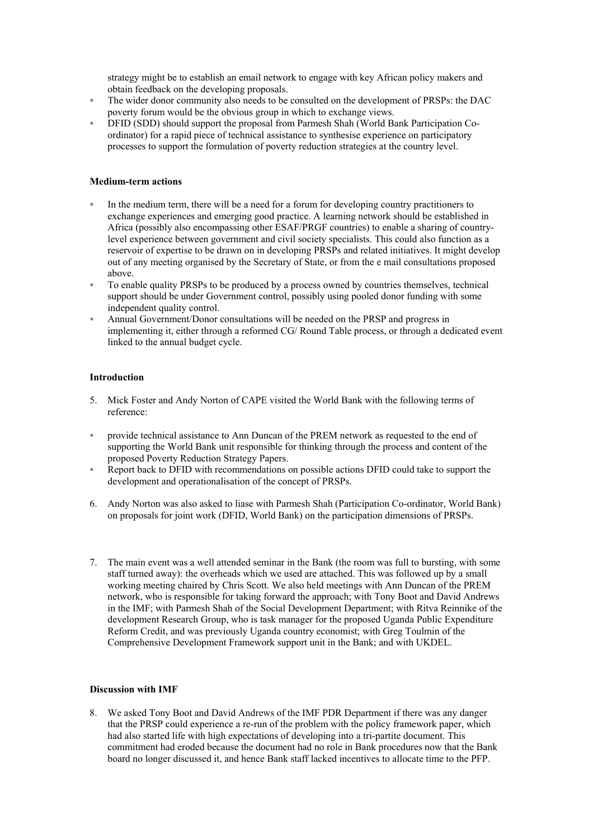strategy might be to establish an email network to engage with key African policy makers and obtain feedback on the developing proposals.

- The wider donor community also needs to be consulted on the development of PRSPs: the DAC poverty forum would be the obvious group in which to exchange views.
- DFID (SDD) should support the proposal from Parmesh Shah (World Bank Participation Coordinator) for a rapid piece of technical assistance to synthesise experience on participatory processes to support the formulation of poverty reduction strategies at the country level.

## **Medium-term actions**

- In the medium term, there will be a need for a forum for developing country practitioners to exchange experiences and emerging good practice. A learning network should be established in Africa (possibly also encompassing other ESAF/PRGF countries) to enable a sharing of countrylevel experience between government and civil society specialists. This could also function as a reservoir of expertise to be drawn on in developing PRSPs and related initiatives. It might develop out of any meeting organised by the Secretary of State, or from the e mail consultations proposed above.
- To enable quality PRSPs to be produced by a process owned by countries themselves, technical support should be under Government control, possibly using pooled donor funding with some independent quality control.
- Annual Government/Donor consultations will be needed on the PRSP and progress in implementing it, either through a reformed CG/ Round Table process, or through a dedicated event linked to the annual budget cycle.

## **Introduction**

- 5. Mick Foster and Andy Norton of CAPE visited the World Bank with the following terms of reference:
- provide technical assistance to Ann Duncan of the PREM network as requested to the end of supporting the World Bank unit responsible for thinking through the process and content of the proposed Poverty Reduction Strategy Papers.
- Report back to DFID with recommendations on possible actions DFID could take to support the development and operationalisation of the concept of PRSPs.
- 6. Andy Norton was also asked to liase with Parmesh Shah (Participation Co-ordinator, World Bank) on proposals for joint work (DFID, World Bank) on the participation dimensions of PRSPs.
- 7. The main event was a well attended seminar in the Bank (the room was full to bursting, with some staff turned away): the overheads which we used are attached. This was followed up by a small working meeting chaired by Chris Scott. We also held meetings with Ann Duncan of the PREM network, who is responsible for taking forward the approach; with Tony Boot and David Andrews in the IMF; with Parmesh Shah of the Social Development Department; with Ritva Reinnike of the development Research Group, who is task manager for the proposed Uganda Public Expenditure Reform Credit, and was previously Uganda country economist; with Greg Toulmin of the Comprehensive Development Framework support unit in the Bank; and with UKDEL.

## **Discussion with IMF**

8. We asked Tony Boot and David Andrews of the IMF PDR Department if there was any danger that the PRSP could experience a re-run of the problem with the policy framework paper, which had also started life with high expectations of developing into a tri-partite document. This commitment had eroded because the document had no role in Bank procedures now that the Bank board no longer discussed it, and hence Bank staff lacked incentives to allocate time to the PFP.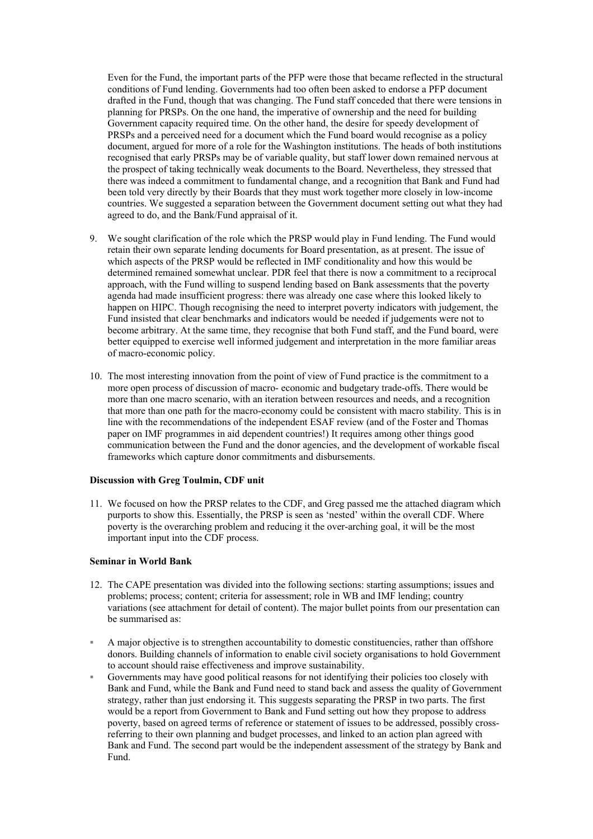Even for the Fund, the important parts of the PFP were those that became reflected in the structural conditions of Fund lending. Governments had too often been asked to endorse a PFP document drafted in the Fund, though that was changing. The Fund staff conceded that there were tensions in planning for PRSPs. On the one hand, the imperative of ownership and the need for building Government capacity required time. On the other hand, the desire for speedy development of PRSPs and a perceived need for a document which the Fund board would recognise as a policy document, argued for more of a role for the Washington institutions. The heads of both institutions recognised that early PRSPs may be of variable quality, but staff lower down remained nervous at the prospect of taking technically weak documents to the Board. Nevertheless, they stressed that there was indeed a commitment to fundamental change, and a recognition that Bank and Fund had been told very directly by their Boards that they must work together more closely in low-income countries. We suggested a separation between the Government document setting out what they had agreed to do, and the Bank/Fund appraisal of it.

- 9. We sought clarification of the role which the PRSP would play in Fund lending. The Fund would retain their own separate lending documents for Board presentation, as at present. The issue of which aspects of the PRSP would be reflected in IMF conditionality and how this would be determined remained somewhat unclear. PDR feel that there is now a commitment to a reciprocal approach, with the Fund willing to suspend lending based on Bank assessments that the poverty agenda had made insufficient progress: there was already one case where this looked likely to happen on HIPC. Though recognising the need to interpret poverty indicators with judgement, the Fund insisted that clear benchmarks and indicators would be needed if judgements were not to become arbitrary. At the same time, they recognise that both Fund staff, and the Fund board, were better equipped to exercise well informed judgement and interpretation in the more familiar areas of macro-economic policy.
- 10. The most interesting innovation from the point of view of Fund practice is the commitment to a more open process of discussion of macro- economic and budgetary trade-offs. There would be more than one macro scenario, with an iteration between resources and needs, and a recognition that more than one path for the macro-economy could be consistent with macro stability. This is in line with the recommendations of the independent ESAF review (and of the Foster and Thomas paper on IMF programmes in aid dependent countries!) It requires among other things good communication between the Fund and the donor agencies, and the development of workable fiscal frameworks which capture donor commitments and disbursements.

#### **Discussion with Greg Toulmin, CDF unit**

11. We focused on how the PRSP relates to the CDF, and Greg passed me the attached diagram which purports to show this. Essentially, the PRSP is seen as 'nested' within the overall CDF. Where poverty is the overarching problem and reducing it the over-arching goal, it will be the most important input into the CDF process.

## **Seminar in World Bank**

- 12. The CAPE presentation was divided into the following sections: starting assumptions; issues and problems; process; content; criteria for assessment; role in WB and IMF lending; country variations (see attachment for detail of content). The major bullet points from our presentation can be summarised as:
- A major objective is to strengthen accountability to domestic constituencies, rather than offshore donors. Building channels of information to enable civil society organisations to hold Government to account should raise effectiveness and improve sustainability.
- Governments may have good political reasons for not identifying their policies too closely with Bank and Fund, while the Bank and Fund need to stand back and assess the quality of Government strategy, rather than just endorsing it. This suggests separating the PRSP in two parts. The first would be a report from Government to Bank and Fund setting out how they propose to address poverty, based on agreed terms of reference or statement of issues to be addressed, possibly crossreferring to their own planning and budget processes, and linked to an action plan agreed with Bank and Fund. The second part would be the independent assessment of the strategy by Bank and Fund.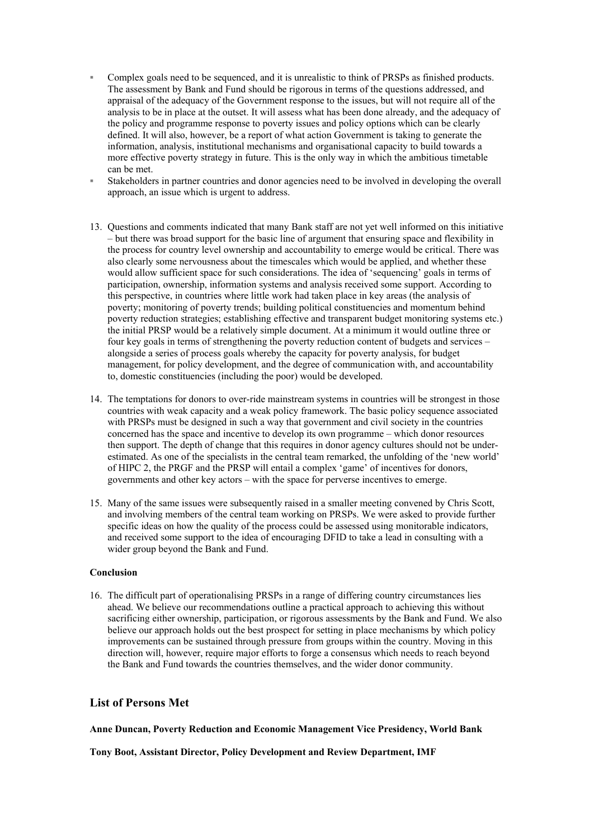- Complex goals need to be sequenced, and it is unrealistic to think of PRSPs as finished products. The assessment by Bank and Fund should be rigorous in terms of the questions addressed, and appraisal of the adequacy of the Government response to the issues, but will not require all of the analysis to be in place at the outset. It will assess what has been done already, and the adequacy of the policy and programme response to poverty issues and policy options which can be clearly defined. It will also, however, be a report of what action Government is taking to generate the information, analysis, institutional mechanisms and organisational capacity to build towards a more effective poverty strategy in future. This is the only way in which the ambitious timetable can be met
- Stakeholders in partner countries and donor agencies need to be involved in developing the overall approach, an issue which is urgent to address.
- 13. Questions and comments indicated that many Bank staff are not yet well informed on this initiative – but there was broad support for the basic line of argument that ensuring space and flexibility in the process for country level ownership and accountability to emerge would be critical. There was also clearly some nervousness about the timescales which would be applied, and whether these would allow sufficient space for such considerations. The idea of 'sequencing' goals in terms of participation, ownership, information systems and analysis received some support. According to this perspective, in countries where little work had taken place in key areas (the analysis of poverty; monitoring of poverty trends; building political constituencies and momentum behind poverty reduction strategies; establishing effective and transparent budget monitoring systems etc.) the initial PRSP would be a relatively simple document. At a minimum it would outline three or four key goals in terms of strengthening the poverty reduction content of budgets and services – alongside a series of process goals whereby the capacity for poverty analysis, for budget management, for policy development, and the degree of communication with, and accountability to, domestic constituencies (including the poor) would be developed.
- 14. The temptations for donors to over-ride mainstream systems in countries will be strongest in those countries with weak capacity and a weak policy framework. The basic policy sequence associated with PRSPs must be designed in such a way that government and civil society in the countries concerned has the space and incentive to develop its own programme – which donor resources then support. The depth of change that this requires in donor agency cultures should not be underestimated. As one of the specialists in the central team remarked, the unfolding of the 'new world' of HIPC 2, the PRGF and the PRSP will entail a complex 'game' of incentives for donors, governments and other key actors – with the space for perverse incentives to emerge.
- 15. Many of the same issues were subsequently raised in a smaller meeting convened by Chris Scott, and involving members of the central team working on PRSPs. We were asked to provide further specific ideas on how the quality of the process could be assessed using monitorable indicators, and received some support to the idea of encouraging DFID to take a lead in consulting with a wider group beyond the Bank and Fund.

#### **Conclusion**

16. The difficult part of operationalising PRSPs in a range of differing country circumstances lies ahead. We believe our recommendations outline a practical approach to achieving this without sacrificing either ownership, participation, or rigorous assessments by the Bank and Fund. We also believe our approach holds out the best prospect for setting in place mechanisms by which policy improvements can be sustained through pressure from groups within the country. Moving in this direction will, however, require major efforts to forge a consensus which needs to reach beyond the Bank and Fund towards the countries themselves, and the wider donor community.

# **List of Persons Met**

**Anne Duncan, Poverty Reduction and Economic Management Vice Presidency, World Bank**

**Tony Boot, Assistant Director, Policy Development and Review Department, IMF**